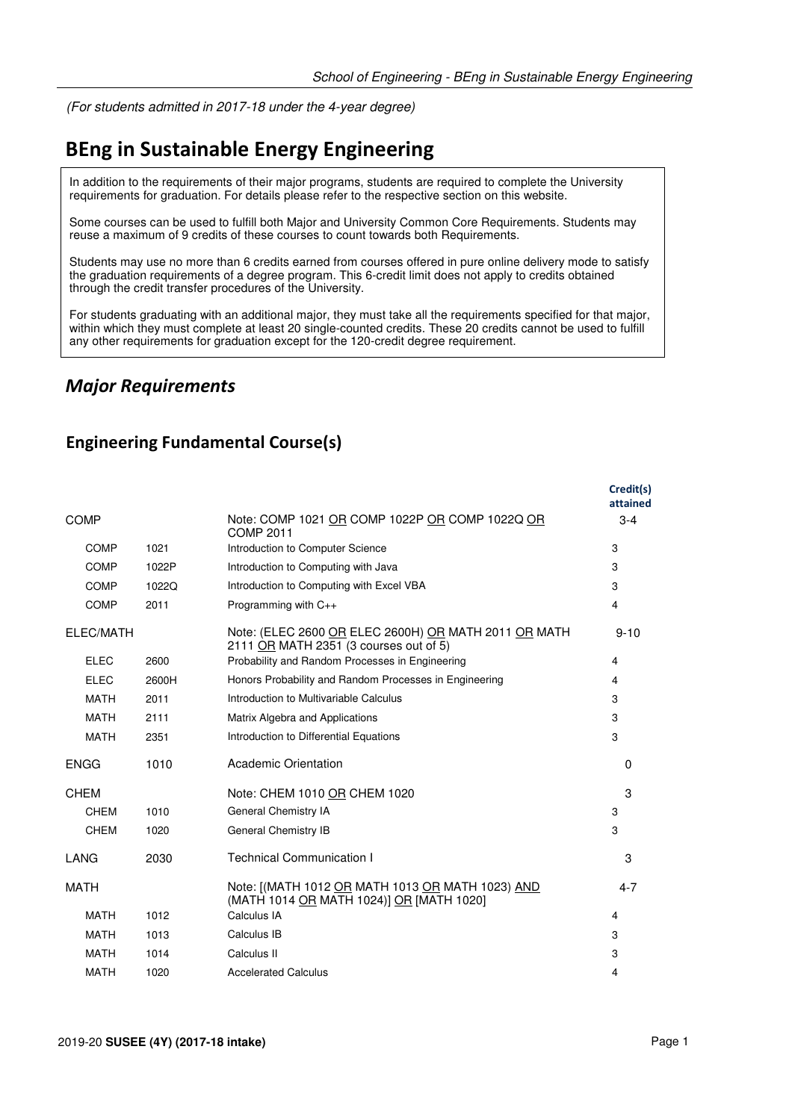(For students admitted in 2017-18 under the 4-year degree)

# **BEng in Sustainable Energy Engineering**

In addition to the requirements of their major programs, students are required to complete the University requirements for graduation. For details please refer to the respective section on this website.

Some courses can be used to fulfill both Major and University Common Core Requirements. Students may reuse a maximum of 9 credits of these courses to count towards both Requirements.

Students may use no more than 6 credits earned from courses offered in pure online delivery mode to satisfy the graduation requirements of a degree program. This 6-credit limit does not apply to credits obtained through the credit transfer procedures of the University.

For students graduating with an additional major, they must take all the requirements specified for that major, within which they must complete at least 20 single-counted credits. These 20 credits cannot be used to fulfill any other requirements for graduation except for the 120-credit degree requirement.

### *Major Requirements*

#### **Engineering Fundamental Course(s)**

|             |       |                                                                                                | Credit(s)<br>attained |
|-------------|-------|------------------------------------------------------------------------------------------------|-----------------------|
| <b>COMP</b> |       | Note: COMP 1021 OR COMP 1022P OR COMP 1022Q OR<br><b>COMP 2011</b>                             | $3-4$                 |
| <b>COMP</b> | 1021  | Introduction to Computer Science                                                               | 3                     |
| <b>COMP</b> | 1022P | Introduction to Computing with Java                                                            | 3                     |
| COMP        | 1022Q | Introduction to Computing with Excel VBA                                                       | 3                     |
| <b>COMP</b> | 2011  | Programming with $C_{++}$                                                                      | 4                     |
| ELEC/MATH   |       | Note: (ELEC 2600 OR ELEC 2600H) OR MATH 2011 OR MATH<br>2111 OR MATH 2351 (3 courses out of 5) | $9 - 10$              |
| <b>ELEC</b> | 2600  | Probability and Random Processes in Engineering                                                | 4                     |
| <b>ELEC</b> | 2600H | Honors Probability and Random Processes in Engineering                                         | 4                     |
| <b>MATH</b> | 2011  | Introduction to Multivariable Calculus                                                         | 3                     |
| <b>MATH</b> | 2111  | Matrix Algebra and Applications                                                                | 3                     |
| <b>MATH</b> | 2351  | Introduction to Differential Equations                                                         | 3                     |
| <b>ENGG</b> | 1010  | Academic Orientation                                                                           | $\Omega$              |
| <b>CHEM</b> |       | Note: CHEM 1010 OR CHEM 1020                                                                   | 3                     |
| CHEM        | 1010  | General Chemistry IA                                                                           | 3                     |
| <b>CHEM</b> | 1020  | General Chemistry IB                                                                           | 3                     |
| LANG        | 2030  | <b>Technical Communication I</b>                                                               | 3                     |
| <b>MATH</b> |       | Note: [(MATH 1012 OR MATH 1013 OR MATH 1023) AND<br>(MATH 1014 OR MATH 1024)] OR [MATH 1020]   | $4 - 7$               |
| <b>MATH</b> | 1012  | Calculus IA                                                                                    | 4                     |
| <b>MATH</b> | 1013  | Calculus IB                                                                                    | 3                     |
| <b>MATH</b> | 1014  | Calculus II                                                                                    | 3                     |
| <b>MATH</b> | 1020  | <b>Accelerated Calculus</b>                                                                    | 4                     |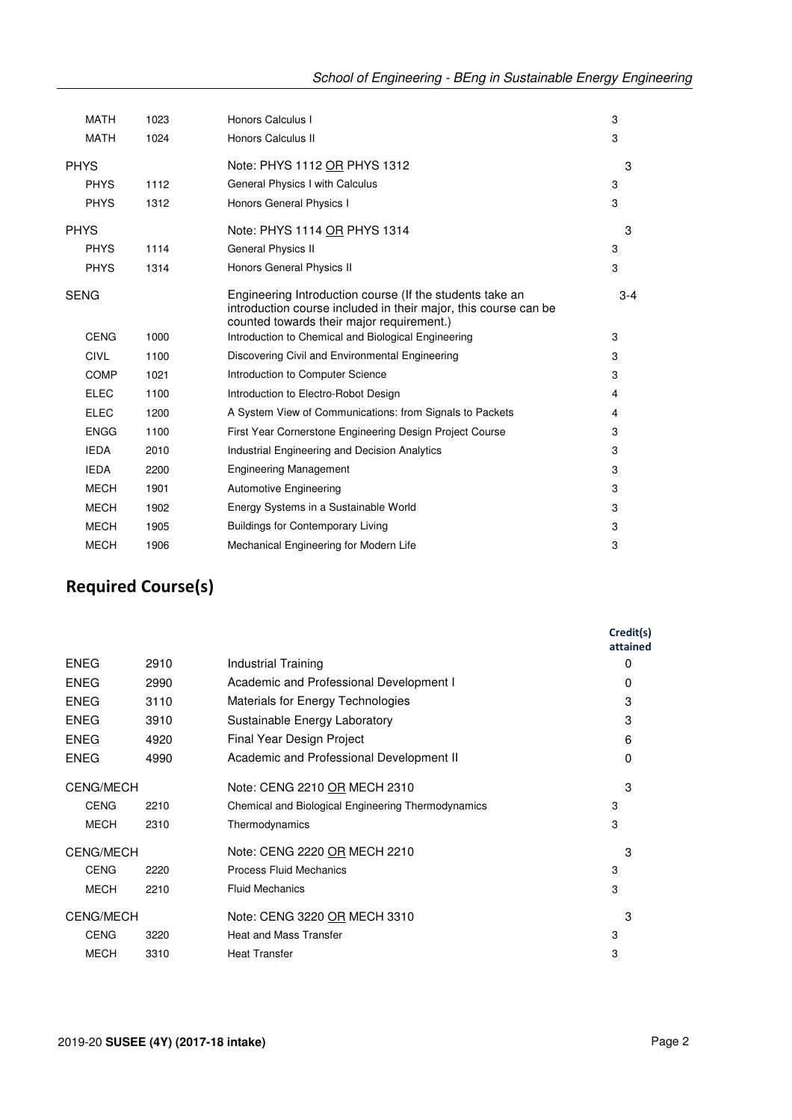|             | <b>MATH</b> | 1023 | Honors Calculus I                                                                                                                                                        | 3     |
|-------------|-------------|------|--------------------------------------------------------------------------------------------------------------------------------------------------------------------------|-------|
|             | <b>MATH</b> | 1024 | Honors Calculus II                                                                                                                                                       | 3     |
| <b>PHYS</b> |             |      | Note: PHYS 1112 OR PHYS 1312                                                                                                                                             | 3     |
|             | <b>PHYS</b> | 1112 | General Physics I with Calculus                                                                                                                                          | 3     |
|             | <b>PHYS</b> | 1312 | Honors General Physics I                                                                                                                                                 | 3     |
| <b>PHYS</b> |             |      | Note: PHYS 1114 OR PHYS 1314                                                                                                                                             | 3     |
|             | <b>PHYS</b> | 1114 | <b>General Physics II</b>                                                                                                                                                | 3     |
|             | <b>PHYS</b> | 1314 | Honors General Physics II                                                                                                                                                | 3     |
| <b>SENG</b> |             |      | Engineering Introduction course (If the students take an<br>introduction course included in their major, this course can be<br>counted towards their major requirement.) | $3-4$ |
|             | <b>CENG</b> | 1000 | Introduction to Chemical and Biological Engineering                                                                                                                      | 3     |
|             | <b>CIVL</b> | 1100 | Discovering Civil and Environmental Engineering                                                                                                                          | 3     |
|             | <b>COMP</b> | 1021 | Introduction to Computer Science                                                                                                                                         | 3     |
|             | <b>ELEC</b> | 1100 | Introduction to Electro-Robot Design                                                                                                                                     | 4     |
|             | <b>ELEC</b> | 1200 | A System View of Communications: from Signals to Packets                                                                                                                 | 4     |
|             | <b>ENGG</b> | 1100 | First Year Cornerstone Engineering Design Project Course                                                                                                                 | 3     |
|             | <b>IEDA</b> | 2010 | <b>Industrial Engineering and Decision Analytics</b>                                                                                                                     | 3     |
|             | <b>IEDA</b> | 2200 | <b>Engineering Management</b>                                                                                                                                            | 3     |
|             | <b>MECH</b> | 1901 | <b>Automotive Engineering</b>                                                                                                                                            | 3     |
|             | <b>MECH</b> | 1902 | Energy Systems in a Sustainable World                                                                                                                                    | 3     |
|             | <b>MECH</b> | 1905 | <b>Buildings for Contemporary Living</b>                                                                                                                                 | 3     |
|             | <b>MECH</b> | 1906 | Mechanical Engineering for Modern Life                                                                                                                                   | 3     |
|             |             |      |                                                                                                                                                                          |       |

## **Required Course(s)**

|                  |                                                    | attained | Credit(s) |
|------------------|----------------------------------------------------|----------|-----------|
| 2910             | Industrial Training                                | 0        |           |
| 2990             | Academic and Professional Development I            | 0        |           |
| 3110             | Materials for Energy Technologies                  | 3        |           |
| 3910             | Sustainable Energy Laboratory                      | 3        |           |
| 4920             | Final Year Design Project                          | 6        |           |
| 4990             | Academic and Professional Development II           | 0        |           |
| <b>CENG/MECH</b> | Note: CENG 2210 OR MECH 2310                       | 3        |           |
| 2210             | Chemical and Biological Engineering Thermodynamics | 3        |           |
| 2310             | Thermodynamics                                     | 3        |           |
| <b>CENG/MECH</b> | Note: CENG 2220 OR MECH 2210                       | 3        |           |
| 2220             | Process Fluid Mechanics                            | 3        |           |
| 2210             | <b>Fluid Mechanics</b>                             | 3        |           |
|                  | Note: CENG 3220 OR MECH 3310                       | 3        |           |
| 3220             | <b>Heat and Mass Transfer</b>                      | 3        |           |
| 3310             | <b>Heat Transfer</b>                               | 3        |           |
|                  |                                                    |          |           |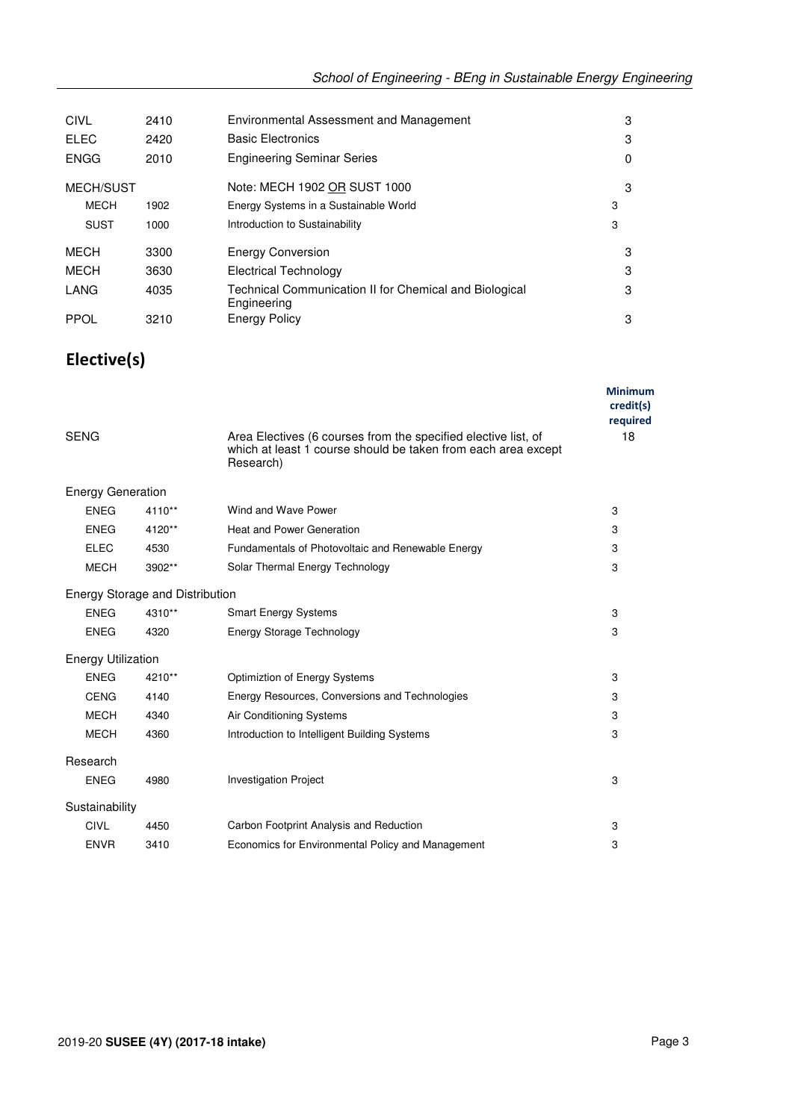| CIVL             | 2410 | Environmental Assessment and Management                               | 3 |
|------------------|------|-----------------------------------------------------------------------|---|
| <b>ELEC</b>      | 2420 | <b>Basic Electronics</b>                                              | 3 |
| <b>ENGG</b>      | 2010 | <b>Engineering Seminar Series</b>                                     | 0 |
| <b>MECH/SUST</b> |      | Note: MECH 1902 OR SUST 1000                                          | 3 |
| <b>MECH</b>      | 1902 | Energy Systems in a Sustainable World                                 | 3 |
| <b>SUST</b>      | 1000 | Introduction to Sustainability                                        | 3 |
| MECH             | 3300 | <b>Energy Conversion</b>                                              | 3 |
| MECH             | 3630 | Electrical Technology                                                 | 3 |
| LANG             | 4035 | Technical Communication II for Chemical and Biological<br>Engineering | 3 |
| <b>PPOL</b>      | 3210 | <b>Energy Policy</b>                                                  | 3 |

## **Elective(s)**

|                           |                                 |                                                                                                                                              | <b>Minimum</b><br>credit(s)<br>required |
|---------------------------|---------------------------------|----------------------------------------------------------------------------------------------------------------------------------------------|-----------------------------------------|
| <b>SENG</b>               |                                 | Area Electives (6 courses from the specified elective list, of<br>which at least 1 course should be taken from each area except<br>Research) | 18                                      |
| <b>Energy Generation</b>  |                                 |                                                                                                                                              |                                         |
| <b>ENEG</b>               | 4110**                          | Wind and Wave Power                                                                                                                          | 3                                       |
| <b>ENEG</b>               | 4120**                          | <b>Heat and Power Generation</b>                                                                                                             | 3                                       |
| <b>ELEC</b>               | 4530                            | Fundamentals of Photovoltaic and Renewable Energy                                                                                            | 3                                       |
| <b>MECH</b>               | 3902**                          | Solar Thermal Energy Technology                                                                                                              | 3                                       |
|                           | Energy Storage and Distribution |                                                                                                                                              |                                         |
| <b>ENEG</b>               | 4310**                          | <b>Smart Energy Systems</b>                                                                                                                  | 3                                       |
| <b>ENEG</b>               | 4320                            | <b>Energy Storage Technology</b>                                                                                                             | 3                                       |
| <b>Energy Utilization</b> |                                 |                                                                                                                                              |                                         |
| <b>ENEG</b>               | 4210**                          | Optimiztion of Energy Systems                                                                                                                | 3                                       |
| <b>CENG</b>               | 4140                            | Energy Resources, Conversions and Technologies                                                                                               | 3                                       |
| <b>MECH</b>               | 4340                            | Air Conditioning Systems                                                                                                                     | 3                                       |
| <b>MECH</b>               | 4360                            | Introduction to Intelligent Building Systems                                                                                                 | 3                                       |
| Research                  |                                 |                                                                                                                                              |                                         |
| <b>ENEG</b>               | 4980                            | <b>Investigation Project</b>                                                                                                                 | 3                                       |
| Sustainability            |                                 |                                                                                                                                              |                                         |
| <b>CIVL</b>               | 4450                            | Carbon Footprint Analysis and Reduction                                                                                                      | 3                                       |
| <b>ENVR</b>               | 3410                            | Economics for Environmental Policy and Management                                                                                            | 3                                       |
|                           |                                 |                                                                                                                                              |                                         |